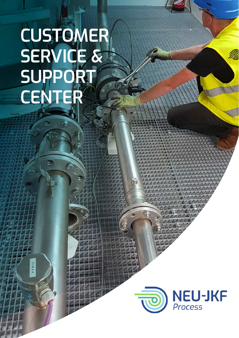# **CUSTOMER SERVICE & SUPPORT CENTER**

ö.

**PT970** 

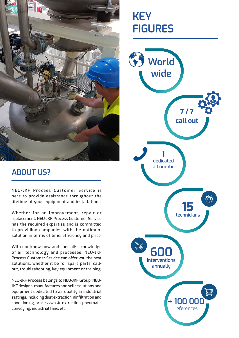

## **KEY FIGURES**



#### **ABOUT US?**

NEU-JKF Process Customer Service is here to provide assistance throughout the lifetime of your equipment and installations.

Whether for an improvement, repair or replacement, NEU-JKF Process Customer Service has the required expertise and is committed to providing companies with the optimum solution in terms of time, efficiency and price.

With our know-how and specialist knowledge of air technology and processes, NEU-JKF Process Customer Service can offer you the best solutions, whether it be for spare parts, callout, troubleshooting, key equipment or training.

NEU-JKF Process belongs to NEU-JKF Group. NEU-JKF designs, manufactures and sells solutions and equipment dedicated to air quality in industrial settings, including dust extraction, air filtration and conditioning, process waste extraction, pneumatic conveying, industrial fans, etc.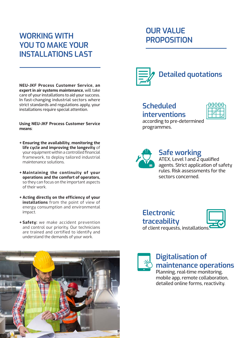### **WORKING WITH YOU TO MAKE YOUR INSTALLATIONS LAST**

**NEU-JKF Process Customer Service, an expert in air systems maintenance,** will take care of your installations to aid your success. In fast-changing industrial sectors where strict standards and regulations apply, your installations require special attention.

#### **Using NEU-JKF Process Customer Service means**:

- **+ Ensuring the availability, monitoring the life cycle and improving the longevity** of your equipment within a controlled financial framework, to deploy tailored industrial maintenance solutions.
- **+ Maintaining the continuity of your operations and the comfort of operators,**  so they can focus on the important aspects of their work.
- **+ Acting directly on the efficiency of your installations** from the point of view of energy consumption and environmental impact.
- **+ Safety:** we make accident prevention and control our priority. Our technicians are trained and certified to identify and understand the demands of your work.



## **OUR VALUE PROPOSITION**



#### **Scheduled interventions**



according to pre-determined programmes.



#### **Safe working**

ATEX, Level 1 and 2 qualified agents. Strict application of safety rules. Risk assessments for the sectors concerned.





#### **Digitalisation of maintenance operations**

Planning, real-time monitoring, mobile app, remote collaboration, detailed online forms, reactivity.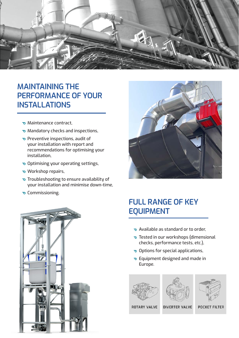

#### **MAINTAINING THE PERFORMANCE OF YOUR INSTALLATIONS**

- Maintenance contract,
- Mandatory checks and inspections,
- Preventive inspections, audit of your installation with report and recommendations for optimising your installation,
- Optimising your operating settings,
- Workshop repairs,
- Troubleshooting to ensure availability of your installation and minimise down-time,
- **v** Commissioning.





### **FULL RANGE OF KEY EQUIPMENT**

- Available as standard or to order,
- Tested in our workshops (dimensional checks, performance tests, etc.),
- Options for special applications,
- Equipment designed and made in Europe.

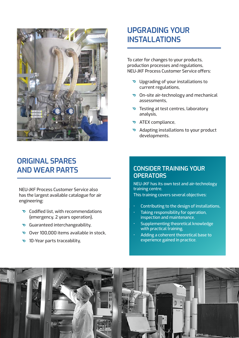

#### **UPGRADING YOUR INSTALLATIONS**

To cater for changes to your products, production processes and regulations, NEU-JKF Process Customer Service offers:

- Upgrading of your installations to current regulations,
- On-site air-technology and mechanical assessments,
- Testing at test centres, laboratory analysis,
- ATEX compliance,
- Adapting installations to your product developments.

#### **ORIGINAL SPARES AND WEAR PARTS**

NEU-JKF Process Customer Service also has the largest available catalogue for air engineering:

- Codified list, with recommendations (emergency, 2 years operation),
- Guaranteed interchangeability,
- Over 100,000 items available in stock.
- 10-Year parts traceability,

#### **CONSIDER TRAINING YOUR OPERATORS**

NEU-JKF has its own test and air-technology training centre.

This training covers several objectives:

- Contributing to the design of installations,
- Taking responsibility for operation, inspection and maintenance,
- Supplementing theoretical knowledge with practical training,
- Adding a coherent theoretical base to experience gained in practice.